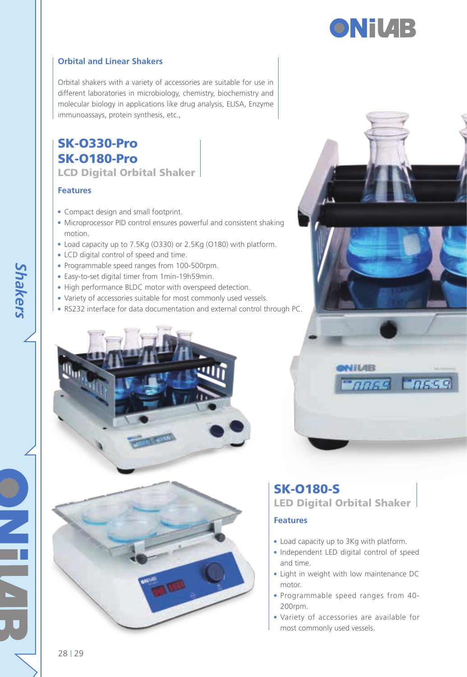## **ONiVAB**

#### **Orbital and Linear Shakers**

Orbital shakers with a variety of accessories are suitable for use in different laboratories in microbiology, chemistry, biochemistry and molecular biology in applications like drug analysis, ELISA, Enzyme immunoassays, protein synthesis, etc.,

#### SK-O330-Pro SK-O180-Pro LCD Digital Orbital Shaker

#### **Features**

- Compact design and small footprint.
- Microprocessor PID control ensures powerful and consistent shaking motion.
- Load capacity up to 7.5Kg (O330) or 2.5Kg (O180) with platform.
- LCD digital control of speed and time.
- Programmable speed ranges from 100-500rpm.
- Easy-to-set digital timer from 1min-19h59min.
- High performance BLDC motor with overspeed detection.
- Variety of accessories suitable for most commonly used vessels.
- RS232 interface for data documentation and external control through PC.







## SK-O180-S LED Digital Orbital Shaker

#### **Features**

- Load capacity up to 3Kg with platform.
- Independent LED digital control of speed and time.
- Light in weight with low maintenance DC motor.
- Programmable speed ranges from 40- 200rpm.
- Variety of accessories are available for most commonly used vessels.

*Shakers*

28 29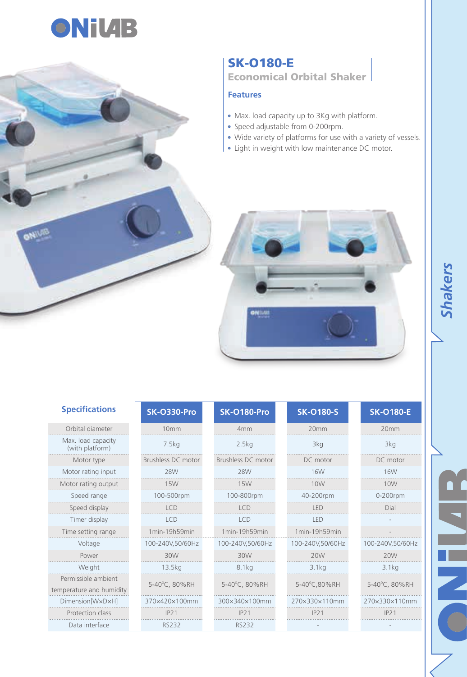



#### SK-O180-E Economical Orbital Shaker

#### **Features**

- Max. load capacity up to 3Kg with platform.
- Speed adjustable from 0-200rpm.
- Wide variety of platforms for use with a variety of vessels.
- Light in weight with low maintenance DC motor.



| <b>Specifications</b>                           | <b>SK-0330-Pro</b> | <b>SK-0180-Pro</b> | <b>SK-0180-S</b> | <b>SK-O180-E</b> |
|-------------------------------------------------|--------------------|--------------------|------------------|------------------|
| Orbital diameter                                | 10mm               | 4mm                | 20mm             | 20mm             |
| Max. load capacity<br>(with platform)           | 7.5kg              | 2.5kg              | 3kg              | 3kg              |
| Motor type                                      | Brushless DC motor | Brushless DC motor | DC motor         | DC motor         |
| Motor rating input                              | <b>28W</b>         | <b>28W</b>         | <b>16W</b>       | <b>16W</b>       |
| Motor rating output                             | <b>15W</b>         | <b>15W</b>         | 10W              | 10W              |
| Speed range                                     | 100-500rpm         | 100-800rpm         | 40-200rpm        | 0-200rpm         |
| Speed display                                   | ICD                | ICD                | <b>IFD</b>       | Dial             |
| Timer display                                   | ICD                | ICD                | <b>IFD</b>       |                  |
| Time setting range                              | 1min-19h59min      | 1min-19h59min      | 1min-19h59min    |                  |
| Voltage                                         | 100-240V,50/60Hz   | 100-240V,50/60Hz   | 100-240V,50/60Hz | 100-240V,50/60Hz |
| Power                                           | 30W                | 30W                | 20W              | 20W              |
| Weight                                          | 13.5kg             | 8.1 <sub>kq</sub>  | 3.1ka            | 3.1kg            |
| Permissible ambient<br>temperature and humidity | 5-40°C, 80%RH      | 5-40°C, 80%RH      | 5-40°C,80%RH     | 5-40°C, 80%RH    |
| Dimension[WxDxH]                                | 370×420×100mm      | 300×340×100mm      | 270×330×110mm    | 270×330×110mm    |
| Protection class                                | IP21               | IP21               | IP21             | IP21             |
| Data interface                                  | RS232              | RS232              |                  |                  |

# *Shakers*

 $\Box$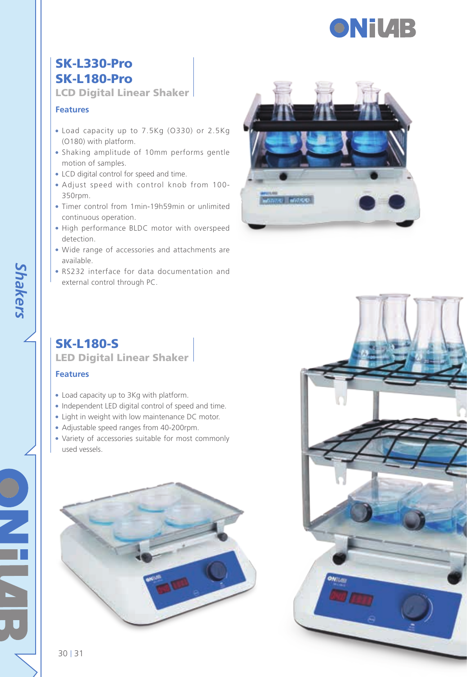

## SK-L330-Pro SK-L180-Pro

LCD Digital Linear Shaker

#### **Features**

- Load capacity up to 7.5Kg (O330) or 2.5Kg (O180) with platform.
- Shaking amplitude of 10mm performs gentle motion of samples.
- LCD digital control for speed and time.
- Adjust speed with control knob from 100- 350rpm.
- Timer control from 1min-19h59min or unlimited continuous operation.
- High performance BLDC motor with overspeed detection.
- Wide range of accessories and attachments are available.
- RS232 interface for data documentation and external control through PC.



## SK-L180-S

LED Digital Linear Shaker

#### **Features**

*Shakers*

- Load capacity up to 3Kg with platform.
- Independent LED digital control of speed and time.
- Light in weight with low maintenance DC motor.
- Adjustable speed ranges from 40-200rpm.
- Variety of accessories suitable for most commonly used vessels.





30 | 31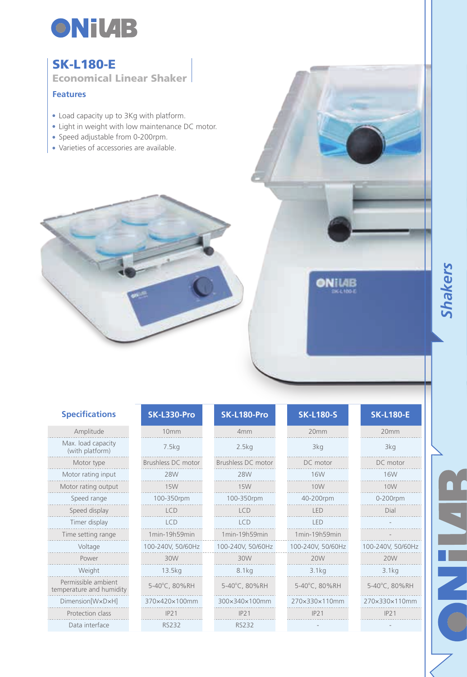

## SK-L180-E

Economical Linear Shaker

#### **Features**

- Load capacity up to 3Kg with platform.
- Light in weight with low maintenance DC motor.
- Speed adjustable from 0-200rpm.
- Varieties of accessories are available.

| Amplitude                                       |                 |
|-------------------------------------------------|-----------------|
| Max. load capacity<br>(with platform)           |                 |
| Motor type                                      | Brushle         |
| Motor rating input                              |                 |
| Motor rating output                             |                 |
| Speed range                                     | 10 <sup>c</sup> |
| Speed display                                   |                 |
| Timer display                                   |                 |
| Time setting range                              | $1$ min         |
| Voltage                                         | $100 - 24$      |
| Power                                           |                 |
| Weight                                          | 1               |
| Permissible ambient<br>temperature and humidity | $5-40^\circ$    |
| Dimension[WxDxH]                                | 370×4           |
| Protection class                                |                 |
| Data interface                                  | I               |

| <b>SK-L330-Pro</b> | SK-L180-Pro        |
|--------------------|--------------------|
| 10mm               | 4mm                |
| 7.5kg              | 2.5kg              |
| Brushless DC motor | Brushless DC motor |
| <b>28W</b>         | <b>28W</b>         |
| <b>15W</b>         | <b>15W</b>         |
| 100-350rpm         | 100-350rpm         |
| <b>LCD</b>         | ICD                |
| ICD                | <b>ICD</b>         |
| 1min-19h59min      | 1min-19h59min      |
| 100-240V, 50/60Hz  | 100-240V, 50/60Hz  |
| 30W                | 30W                |
| 13.5kg             | 8.1 <sub>kq</sub>  |
| 5-40°C, 80%RH      | 5-40°C, 80%RH      |
| 370×420×100mm      | 300×340×100mm      |
| IP21               | IP21               |
| <b>RS232</b>       | <b>RS232</b>       |

| SK-L180-Pro        | SK.              |
|--------------------|------------------|
| 4 <sub>mm</sub>    |                  |
| 2.5kg              |                  |
| Brushless DC motor | D(               |
| <b>28W</b>         |                  |
| <b>15W</b>         |                  |
| 100-350rpm         | 40 <sup>°</sup>  |
| LCD                |                  |
| <b>ICD</b>         |                  |
| 1min-19h59min      | 1 <sub>min</sub> |
| 100-240V, 50/60Hz  | $100 - 24$       |
| 30W                |                  |
| 8.1kg              |                  |
| 5-40°C, 80%RH      | $5 - 40^\circ$   |
| 300×340×100mm      | 270×3            |
| IP21               |                  |

| <b>Specifications</b>                         | SK-L330-Pro        | SK-L180-Pro        | <b>SK-L180-S</b>  | <b>SK-L180-E</b>  |
|-----------------------------------------------|--------------------|--------------------|-------------------|-------------------|
| Amplitude                                     | 10mm               | 4mm                | 20 <sub>mm</sub>  | 20mm              |
| Max. load capacity<br>(with platform)         | 7.5kg              | 2.5kg              | 3kg               | 3kg               |
| Motor type                                    | Brushless DC motor | Brushless DC motor | DC motor          | DC motor          |
| Motor rating input                            | 28W                | 28W                | 16W               | <b>16W</b>        |
| Motor rating output                           | <b>15W</b>         | <b>15W</b>         | 10 <sub>W</sub>   | 10W               |
| Speed range                                   | 100-350rpm         | 100-350rpm         | 40-200rpm         | 0-200rpm          |
| Speed display                                 | <b>LCD</b>         | <b>LCD</b>         | <b>IFD</b>        | Dial              |
| Timer display                                 | ICD                | <b>LCD</b>         | <b>IFD</b>        |                   |
| Time setting range                            | 1min-19h59min      | 1min-19h59min      | 1min-19h59min     |                   |
| Voltage                                       | 100-240V, 50/60Hz  | 100-240V, 50/60Hz  | 100-240V, 50/60Hz | 100-240V, 50/60Hz |
| Power                                         | 30W                | 30W                | 20W               | 20W               |
| Weight                                        | 13.5kg             | 8.1 <sub>kq</sub>  | 3.1kg             | 3.1kg             |
| Permissible ambient<br>nperature and humidity | 5-40°C, 80%RH      | 5-40°C, 80%RH      | 5-40°C, 80%RH     | 5-40°C, 80%RH     |
| Dimension[WxDxH]                              | 370×420×100mm      | 300×340×100mm      | 270×330×110mm     | 270×330×110mm     |
| Protection class                              | IP21               | IP21               | IP21              | IP21              |

**ONILIB** 

| <b>SK-L180-E</b> |
|------------------|
| 20mm             |
| 3kg              |
| DC motor         |
| 16W              |
| 10W              |
| 0-200rpm         |
| Dial             |
|                  |
|                  |
| 00-240V, 50/60Hz |
| <b>20W</b>       |
| 3.1kg            |
| 5-40°C. 80%RH    |
| !70×330×110mm    |
| <b>IP21</b>      |

Ι. m.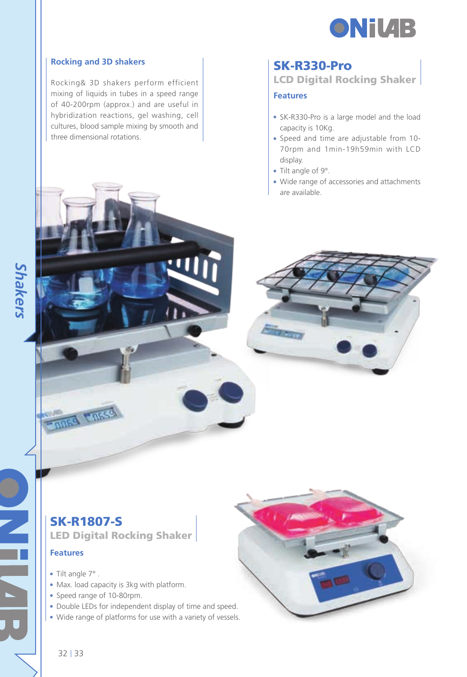

#### **Rocking and 3D shakers**

Rocking& 3D shakers perform efficient mixing of liquids in tubes in a speed range of 40-200rpm (approx.) and are useful in hybridization reactions, gel washing, cell cultures, blood sample mixing by smooth and three dimensional rotations.

#### SK-R330-Pro

LCD Digital Rocking Shaker

#### **Features**

- SK-R330-Pro is a large model and the load capacity is 10Kg.
- Speed and time are adjustable from 10- 70rpm and 1min-19h59min with LCD display.
- Tilt angle of 9°.
- Wide range of accessories and attachments are available.



## SK-R1807-S

**ADES LARSS** 

LED Digital Rocking Shaker

#### **Features**

- Tilt angle 7°.
- Max. load capacity is 3kg with platform.
- Speed range of 10-80rpm.
- Double LEDs for independent display of time and speed.
- Wide range of platforms for use with a variety of vessels.



*Shakers*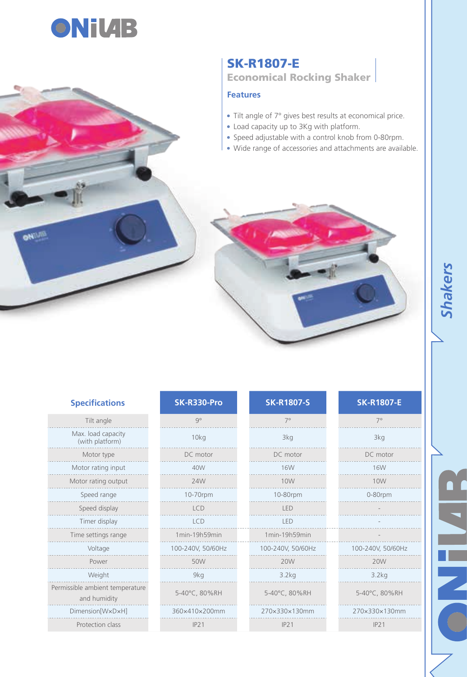

**Liste** 

#### SK-R1807-E Economical Rocking Shaker

#### **Features**

- Tilt angle of 7° gives best results at economical price.
- Load capacity up to 3Kg with platform.
- Speed adjustable with a control knob from 0-80rpm.
- Wide range of accessories and attachments are available.



| <b>Specifications</b>                           | SK-R330-Pro       | <b>SK-R1807-S</b> | <b>SK-R1807-E</b> |
|-------------------------------------------------|-------------------|-------------------|-------------------|
| Tilt angle                                      | $Q^{\circ}$       | $7^\circ$         | $7^\circ$         |
| Max. load capacity<br>(with platform)           | 10kg              | 3kg               | 3kg               |
| Motor type                                      | DC motor          | DC motor          | DC motor          |
| Motor rating input                              | 40W               | <b>16W</b>        | <b>16W</b>        |
| Motor rating output                             | 24W               | 10W               | 10W               |
| Speed range                                     | 10-70rpm          | 10-80rpm          | 0-80rpm           |
| Speed display                                   | <b>LCD</b>        | LED               |                   |
| Timer display                                   | <b>LCD</b>        | <b>IFD</b>        |                   |
| Time settings range                             | 1min-19h59min     | 1min-19h59min     |                   |
| Voltage                                         | 100-240V, 50/60Hz | 100-240V, 50/60Hz | 100-240V, 50/60Hz |
| Power                                           | 50W               | 20W               | 20W               |
| Weight                                          | 9kg               | 3.2kg             | 3.2kg             |
| Permissible ambient temperature<br>and humidity | 5-40°C, 80%RH     | 5-40°C, 80%RH     | 5-40°C, 80%RH     |
| Dimension[WxDxH]                                | 360×410×200mm     | 270×330×130mm     | 270×330×130mm     |
| Protection class                                | IP21              | IP21              | IP21              |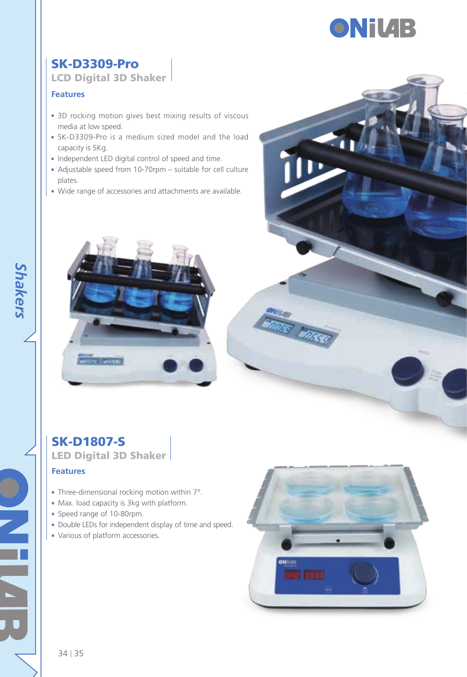

## SK-D3309-Pro

LCD Digital 3D Shaker

#### **Features**

- 3D rocking motion gives best mixing results of viscous media at low speed.
- SK-D3309-Pro is a medium sized model and the load capacity is 5Kg.
- Independent LED digital control of speed and time.
- Adjustable speed from 10-70rpm suitable for cell culture plates.
- Wide range of accessories and attachments are available.



## SK-D1807-S LED Digital 3D Shaker

#### **Features**

- Three-dimensional rocking motion within 7°.
- Max. load capacity is 3kg with platform.
- Speed range of 10-80rpm.
- Double LEDs for independent display of time and speed.
- Various of platform accessories.



*Shakers*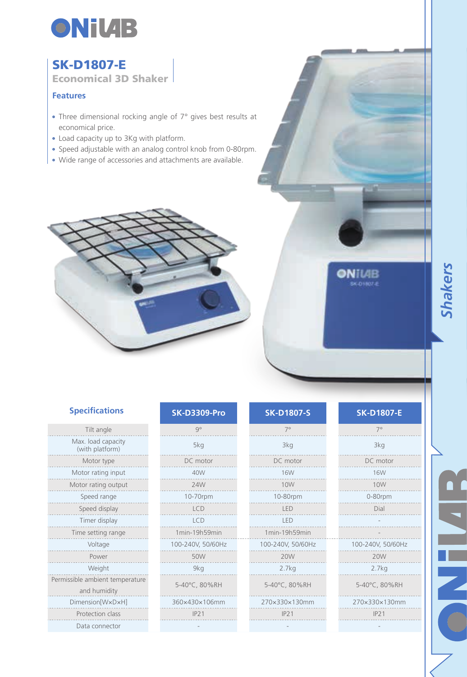

## SK-D1807-E

Economical 3D Shaker

#### **Features**

- Three dimensional rocking angle of 7° gives best results at economical price.
- Load capacity up to 3Kg with platform.
- Speed adjustable with an analog control knob from 0-80rpm.
- Wide range of accessories and attachments are available.



| <b>Specifications</b> |  |
|-----------------------|--|
|                       |  |

| Tilt angle                                      | $Q^{\circ}$       | $7^\circ$         | $\overline{7}$      |
|-------------------------------------------------|-------------------|-------------------|---------------------|
| Max. load capacity<br>(with platform)           | 5kg               | 3kg               | 3 <sup>k</sup>      |
| Motor type                                      | DC motor          | DC motor          | DC n                |
| Motor rating input                              | 40W               | <b>16W</b>        | 16                  |
| Motor rating output                             | 24W               | 10W               | 10                  |
| Speed range                                     | 10-70rpm          | 10-80rpm          | $0 - 80$            |
| Speed display                                   | <b>LCD</b>        | LED               | Di                  |
| Timer display                                   | <b>LCD</b>        | LED               |                     |
| Time setting range                              | 1min-19h59min     | 1min-19h59min     |                     |
| Voltage                                         | 100-240V, 50/60Hz | 100-240V, 50/60Hz | 100-240V            |
| Power                                           | 50W               | 20W               | 20                  |
| Weight                                          | 9kq               | 2.7kg             | 2.7                 |
| Permissible ambient temperature<br>and humidity | 5-40°C, 80%RH     | 5-40°C, 80%RH     | $5 - 40^{\circ}$ C, |
| Dimension[WxDxH]                                | 360×430×106mm     | 270×330×130mm     | 270×330             |
| Protection class                                | IP21              | IP21              | IP.                 |
| Data connector                                  |                   |                   |                     |
|                                                 |                   |                   |                     |

| <b>SK-D3309-Pro</b> |
|---------------------|
| q۰                  |
| 5kg                 |
| DC motor            |
| 40W                 |
| 24W                 |
| 10-70rpm            |
| LCD                 |
| I CD                |
| 1min-19h59min       |
| 100-240V, 50/60Hz   |
| 50W                 |
| 9kg                 |
| 5-40°C, 80%RH       |
| 360×430×106mm       |
| IP21                |

| <b>Specifications</b>                     | <b>SK-D3309-Pro</b> | <b>SK-D1807-S</b> | <b>SK-D1807-E</b> |
|-------------------------------------------|---------------------|-------------------|-------------------|
| Tilt angle                                | $Q^{\circ}$         | $7^\circ$         | $7^\circ$         |
| Max. load capacity<br>(with platform)     | 5kg                 | 3kg               | 3kg               |
| Motor type                                | DC motor            | DC motor          | DC motor          |
| Motor rating input                        | 40W                 | <b>16W</b>        | <b>16W</b>        |
| Motor rating output                       | 24W                 | 10W               | 10W               |
| Speed range                               | 10-70rpm            | 10-80rpm          | 0-80rpm           |
| Speed display                             | <b>LCD</b>          | <b>IFD</b>        | Dial              |
| Timer display                             | <b>LCD</b>          | LED               |                   |
| Time setting range                        | 1min-19h59min       | 1min-19h59min     |                   |
| Voltage                                   | 100-240V, 50/60Hz   | 100-240V, 50/60Hz | 100-240V, 50/60Hz |
| Power                                     | 50W                 | 20W               | 20W               |
| Weight                                    | 9kg                 | 2.7kg             | 2.7kg             |
| sible ambient temperature<br>and humidity | 5-40°C, 80%RH       | 5-40°C, 80%RH     | 5-40°C, 80%RH     |
| Dimension[WxDxH]                          | 360×430×106mm       | 270×330×130mm     | 270×330×130mm     |
| Protection class                          | IP21                | IP21              | IP21              |
| Data connoctor                            |                     |                   |                   |

ONILIB **SK-DIROTE** 

 $\frac{1}{2}$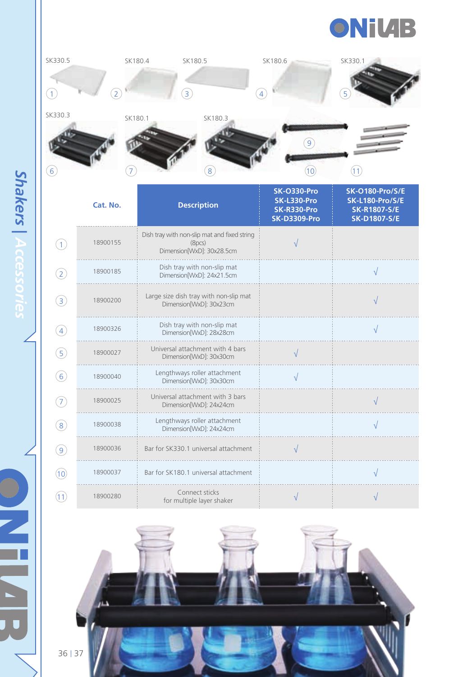



|                   | Cat. No. | <b>Description</b>                                                                  | <b>SK-0330-Pro</b><br>SK-L330-Pro<br>SK-R330-Pro<br><b>SK-D3309-Pro</b> | <b>SK-O180-Pro/S/E</b><br><b>SK-L180-Pro/S/E</b><br><b>SK-R1807-S/E</b><br><b>SK-D1807-S/E</b> |
|-------------------|----------|-------------------------------------------------------------------------------------|-------------------------------------------------------------------------|------------------------------------------------------------------------------------------------|
| (1)               | 18900155 | Dish tray with non-slip mat and fixed string<br>(8pcs)<br>Dimension[WxD]: 30x28.5cm |                                                                         |                                                                                                |
| $\circled{2}$     | 18900185 | Dish tray with non-slip mat<br>Dimension[WxD]: 24x21.5cm                            |                                                                         |                                                                                                |
| $\circled{3}$     | 18900200 | Large size dish tray with non-slip mat<br>Dimension[WxD]: 30x23cm                   |                                                                         |                                                                                                |
| $\left( 4\right)$ | 18900326 | Dish tray with non-slip mat<br>Dimension[WxD]: 28x28cm                              |                                                                         | ν                                                                                              |
| $\left(5\right)$  | 18900027 | Universal attachment with 4 bars<br>Dimension[WxD]: 30x30cm                         |                                                                         |                                                                                                |
| (6)               | 18900040 | Lengthways roller attachment<br>Dimension[WxD]: 30x30cm                             | V                                                                       |                                                                                                |
| $\left( 7\right)$ | 18900025 | Universal attachment with 3 bars<br>Dimension[WxD]: 24x24cm                         |                                                                         | $\sqrt{ }$                                                                                     |
| (8)               | 18900038 | Lengthways roller attachment<br>Dimension[WxD]: 24x24cm                             |                                                                         |                                                                                                |
| (9)               | 18900036 | Bar for SK330.1 universal attachment                                                | $\sqrt{}$                                                               |                                                                                                |
| (10)              | 18900037 | Bar for SK180.1 universal attachment                                                |                                                                         |                                                                                                |
| (11)              | 18900280 | Connect sticks<br>for multiple layer shaker                                         |                                                                         |                                                                                                |



**Shakers | Accessories** *Shakers | Accessories*